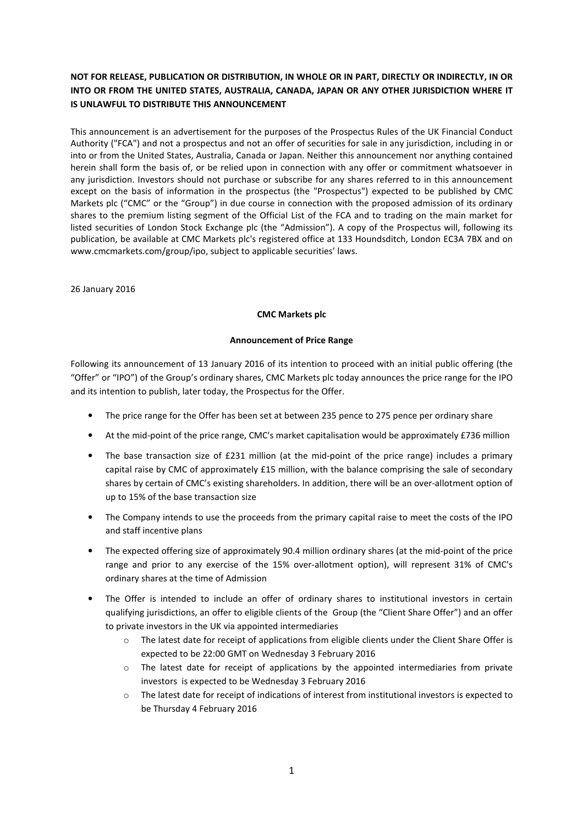# NOT FOR RELEASE, PUBLICATION OR DISTRIBUTION, IN WHOLE OR IN PART, DIRECTLY OR INDIRECTLY, IN OR INTO OR FROM THE UNITED STATES, AUSTRALIA, CANADA, JAPAN OR ANY OTHER JURISDICTION WHERE IT IS UNLAWFUL TO DISTRIBUTE THIS ANNOUNCEMENT

This announcement is an advertisement for the purposes of the Prospectus Rules of the UK Financial Conduct Authority ("FCA") and not a prospectus and not an offer of securities for sale in any jurisdiction, including in or into or from the United States, Australia, Canada or Japan. Neither this announcement nor anything contained herein shall form the basis of, or be relied upon in connection with any offer or commitment whatsoever in any jurisdiction. Investors should not purchase or subscribe for any shares referred to in this announcement except on the basis of information in the prospectus (the "Prospectus") expected to be published by CMC Markets plc ("CMC" or the "Group") in due course in connection with the proposed admission of its ordinary shares to the premium listing segment of the Official List of the FCA and to trading on the main market for listed securities of London Stock Exchange plc (the "Admission"). A copy of the Prospectus will, following its publication, be available at CMC Markets plc's registered office at 133 Houndsditch, London EC3A 7BX and on www.cmcmarkets.com/group/ipo, subject to applicable securities' laws.

26 January 2016

# CMC Markets plc

# Announcement of Price Range

Following its announcement of 13 January 2016 of its intention to proceed with an initial public offering (the "Offer" or "IPO") of the Group's ordinary shares, CMC Markets plc today announces the price range for the IPO and its intention to publish, later today, the Prospectus for the Offer.

- The price range for the Offer has been set at between 235 pence to 275 pence per ordinary share
- At the mid-point of the price range, CMC's market capitalisation would be approximately £736 million
- The base transaction size of £231 million (at the mid-point of the price range) includes a primary capital raise by CMC of approximately £15 million, with the balance comprising the sale of secondary shares by certain of CMC's existing shareholders. In addition, there will be an over-allotment option of up to 15% of the base transaction size
- The Company intends to use the proceeds from the primary capital raise to meet the costs of the IPO and staff incentive plans
- The expected offering size of approximately 90.4 million ordinary shares (at the mid-point of the price range and prior to any exercise of the 15% over-allotment option), will represent 31% of CMC's ordinary shares at the time of Admission
- The Offer is intended to include an offer of ordinary shares to institutional investors in certain qualifying jurisdictions, an offer to eligible clients of the Group (the "Client Share Offer") and an offer to private investors in the UK via appointed intermediaries
	- $\circ$  The latest date for receipt of applications from eligible clients under the Client Share Offer is expected to be 22:00 GMT on Wednesday 3 February 2016
	- The latest date for receipt of applications by the appointed intermediaries from private investors is expected to be Wednesday 3 February 2016
	- o The latest date for receipt of indications of interest from institutional investors is expected to be Thursday 4 February 2016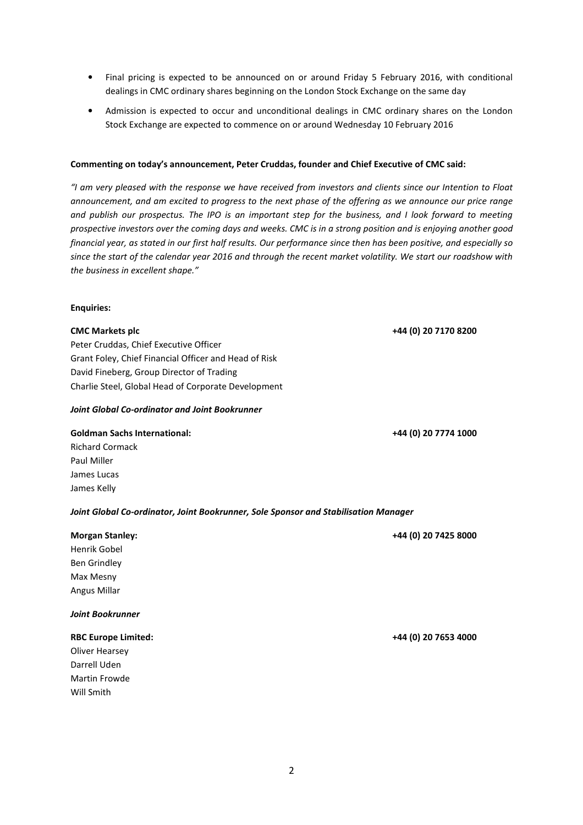- Final pricing is expected to be announced on or around Friday 5 February 2016, with conditional dealings in CMC ordinary shares beginning on the London Stock Exchange on the same day
- Admission is expected to occur and unconditional dealings in CMC ordinary shares on the London Stock Exchange are expected to commence on or around Wednesday 10 February 2016

# Commenting on today's announcement, Peter Cruddas, founder and Chief Executive of CMC said:

"I am very pleased with the response we have received from investors and clients since our Intention to Float announcement, and am excited to progress to the next phase of the offering as we announce our price range and publish our prospectus. The IPO is an important step for the business, and I look forward to meeting prospective investors over the coming days and weeks. CMC is in a strong position and is enjoying another good financial year, as stated in our first half results. Our performance since then has been positive, and especially so since the start of the calendar year 2016 and through the recent market volatility. We start our roadshow with the business in excellent shape."

# Enquiries:

Peter Cruddas, Chief Executive Officer Grant Foley, Chief Financial Officer and Head of Risk David Fineberg, Group Director of Trading Charlie Steel, Global Head of Corporate Development

# Joint Global Co-ordinator and Joint Bookrunner

### Goldman Sachs International: +44 (0) 20 7774 1000

Richard Cormack Paul Miller James Lucas James Kelly

# Joint Global Co-ordinator, Joint Bookrunner, Sole Sponsor and Stabilisation Manager

# Morgan Stanley: +44 (0) 20 7425 8000 Henrik Gobel Ben Grindley Max Mesny

# Joint Bookrunner

Angus Millar

# RBC Europe Limited: +44 (0) 20 7653 4000

Oliver Hearsey Darrell Uden Martin Frowde Will Smith

CMC Markets plc +44 (0) 20 7170 8200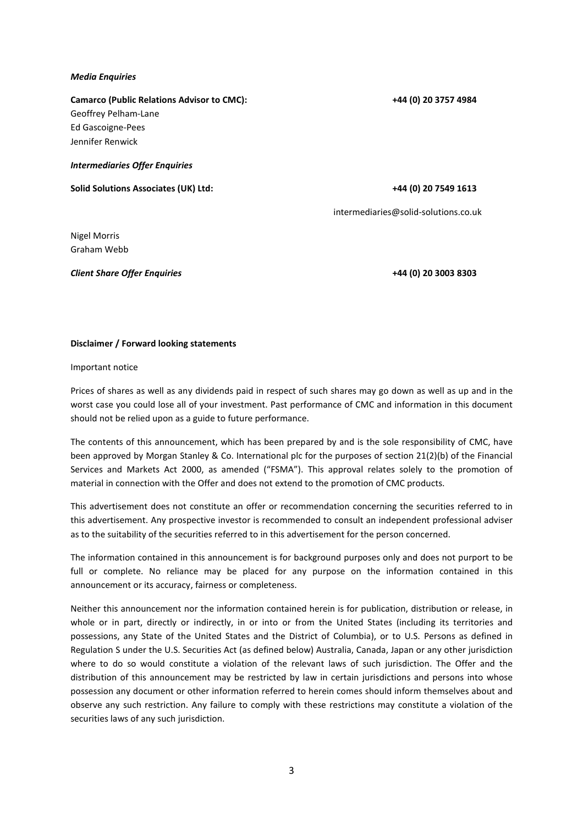# Media Enquiries

Camarco (Public Relations Advisor to CMC): +44 (0) 20 3757 4984 Geoffrey Pelham-Lane Ed Gascoigne-Pees Jennifer Renwick Intermediaries Offer Enquiries

Solid Solutions Associates (UK) Ltd:  $+44$  (0) 20 7549 1613

intermediaries@solid-solutions.co.uk

Nigel Morris Graham Webb

Client Share Offer Enquiries +44 (0) 20 3003 8303

# Disclaimer / Forward looking statements

Important notice

Prices of shares as well as any dividends paid in respect of such shares may go down as well as up and in the worst case you could lose all of your investment. Past performance of CMC and information in this document should not be relied upon as a guide to future performance.

The contents of this announcement, which has been prepared by and is the sole responsibility of CMC, have been approved by Morgan Stanley & Co. International plc for the purposes of section 21(2)(b) of the Financial Services and Markets Act 2000, as amended ("FSMA"). This approval relates solely to the promotion of material in connection with the Offer and does not extend to the promotion of CMC products.

This advertisement does not constitute an offer or recommendation concerning the securities referred to in this advertisement. Any prospective investor is recommended to consult an independent professional adviser as to the suitability of the securities referred to in this advertisement for the person concerned.

The information contained in this announcement is for background purposes only and does not purport to be full or complete. No reliance may be placed for any purpose on the information contained in this announcement or its accuracy, fairness or completeness.

Neither this announcement nor the information contained herein is for publication, distribution or release, in whole or in part, directly or indirectly, in or into or from the United States (including its territories and possessions, any State of the United States and the District of Columbia), or to U.S. Persons as defined in Regulation S under the U.S. Securities Act (as defined below) Australia, Canada, Japan or any other jurisdiction where to do so would constitute a violation of the relevant laws of such jurisdiction. The Offer and the distribution of this announcement may be restricted by law in certain jurisdictions and persons into whose possession any document or other information referred to herein comes should inform themselves about and observe any such restriction. Any failure to comply with these restrictions may constitute a violation of the securities laws of any such jurisdiction.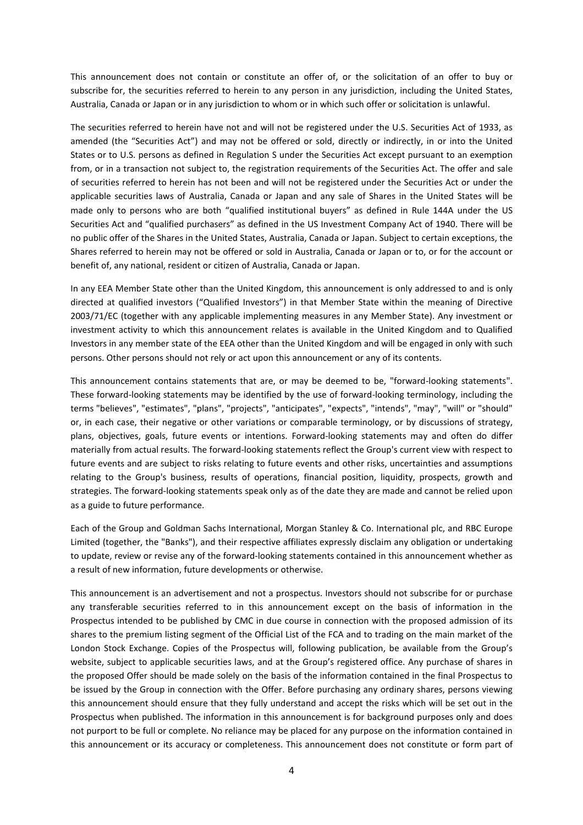This announcement does not contain or constitute an offer of, or the solicitation of an offer to buy or subscribe for, the securities referred to herein to any person in any jurisdiction, including the United States, Australia, Canada or Japan or in any jurisdiction to whom or in which such offer or solicitation is unlawful.

The securities referred to herein have not and will not be registered under the U.S. Securities Act of 1933, as amended (the "Securities Act") and may not be offered or sold, directly or indirectly, in or into the United States or to U.S. persons as defined in Regulation S under the Securities Act except pursuant to an exemption from, or in a transaction not subject to, the registration requirements of the Securities Act. The offer and sale of securities referred to herein has not been and will not be registered under the Securities Act or under the applicable securities laws of Australia, Canada or Japan and any sale of Shares in the United States will be made only to persons who are both "qualified institutional buyers" as defined in Rule 144A under the US Securities Act and "qualified purchasers" as defined in the US Investment Company Act of 1940. There will be no public offer of the Shares in the United States, Australia, Canada or Japan. Subject to certain exceptions, the Shares referred to herein may not be offered or sold in Australia, Canada or Japan or to, or for the account or benefit of, any national, resident or citizen of Australia, Canada or Japan.

In any EEA Member State other than the United Kingdom, this announcement is only addressed to and is only directed at qualified investors ("Qualified Investors") in that Member State within the meaning of Directive 2003/71/EC (together with any applicable implementing measures in any Member State). Any investment or investment activity to which this announcement relates is available in the United Kingdom and to Qualified Investors in any member state of the EEA other than the United Kingdom and will be engaged in only with such persons. Other persons should not rely or act upon this announcement or any of its contents.

This announcement contains statements that are, or may be deemed to be, "forward-looking statements". These forward-looking statements may be identified by the use of forward-looking terminology, including the terms "believes", "estimates", "plans", "projects", "anticipates", "expects", "intends", "may", "will" or "should" or, in each case, their negative or other variations or comparable terminology, or by discussions of strategy, plans, objectives, goals, future events or intentions. Forward-looking statements may and often do differ materially from actual results. The forward-looking statements reflect the Group's current view with respect to future events and are subject to risks relating to future events and other risks, uncertainties and assumptions relating to the Group's business, results of operations, financial position, liquidity, prospects, growth and strategies. The forward-looking statements speak only as of the date they are made and cannot be relied upon as a guide to future performance.

Each of the Group and Goldman Sachs International, Morgan Stanley & Co. International plc, and RBC Europe Limited (together, the "Banks"), and their respective affiliates expressly disclaim any obligation or undertaking to update, review or revise any of the forward-looking statements contained in this announcement whether as a result of new information, future developments or otherwise.

This announcement is an advertisement and not a prospectus. Investors should not subscribe for or purchase any transferable securities referred to in this announcement except on the basis of information in the Prospectus intended to be published by CMC in due course in connection with the proposed admission of its shares to the premium listing segment of the Official List of the FCA and to trading on the main market of the London Stock Exchange. Copies of the Prospectus will, following publication, be available from the Group's website, subject to applicable securities laws, and at the Group's registered office. Any purchase of shares in the proposed Offer should be made solely on the basis of the information contained in the final Prospectus to be issued by the Group in connection with the Offer. Before purchasing any ordinary shares, persons viewing this announcement should ensure that they fully understand and accept the risks which will be set out in the Prospectus when published. The information in this announcement is for background purposes only and does not purport to be full or complete. No reliance may be placed for any purpose on the information contained in this announcement or its accuracy or completeness. This announcement does not constitute or form part of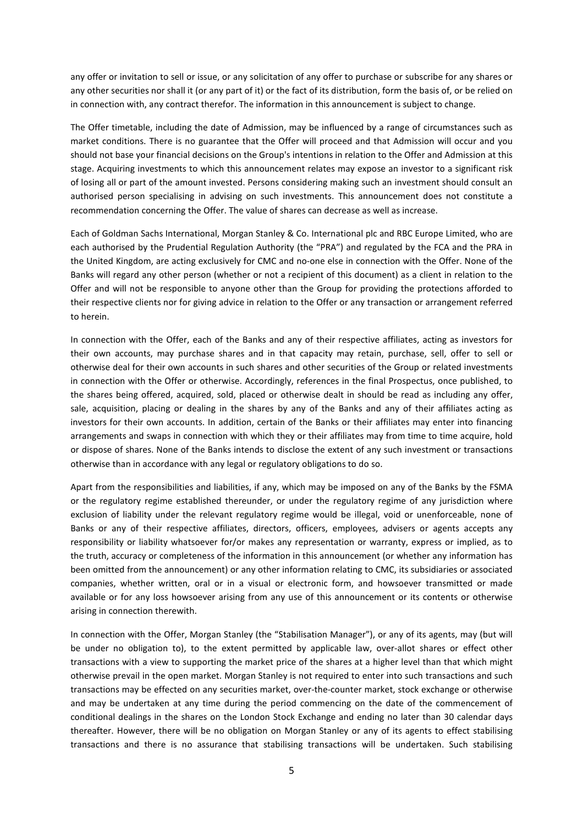any offer or invitation to sell or issue, or any solicitation of any offer to purchase or subscribe for any shares or any other securities nor shall it (or any part of it) or the fact of its distribution, form the basis of, or be relied on in connection with, any contract therefor. The information in this announcement is subject to change.

The Offer timetable, including the date of Admission, may be influenced by a range of circumstances such as market conditions. There is no guarantee that the Offer will proceed and that Admission will occur and you should not base your financial decisions on the Group's intentions in relation to the Offer and Admission at this stage. Acquiring investments to which this announcement relates may expose an investor to a significant risk of losing all or part of the amount invested. Persons considering making such an investment should consult an authorised person specialising in advising on such investments. This announcement does not constitute a recommendation concerning the Offer. The value of shares can decrease as well as increase.

Each of Goldman Sachs International, Morgan Stanley & Co. International plc and RBC Europe Limited, who are each authorised by the Prudential Regulation Authority (the "PRA") and regulated by the FCA and the PRA in the United Kingdom, are acting exclusively for CMC and no-one else in connection with the Offer. None of the Banks will regard any other person (whether or not a recipient of this document) as a client in relation to the Offer and will not be responsible to anyone other than the Group for providing the protections afforded to their respective clients nor for giving advice in relation to the Offer or any transaction or arrangement referred to herein.

In connection with the Offer, each of the Banks and any of their respective affiliates, acting as investors for their own accounts, may purchase shares and in that capacity may retain, purchase, sell, offer to sell or otherwise deal for their own accounts in such shares and other securities of the Group or related investments in connection with the Offer or otherwise. Accordingly, references in the final Prospectus, once published, to the shares being offered, acquired, sold, placed or otherwise dealt in should be read as including any offer, sale, acquisition, placing or dealing in the shares by any of the Banks and any of their affiliates acting as investors for their own accounts. In addition, certain of the Banks or their affiliates may enter into financing arrangements and swaps in connection with which they or their affiliates may from time to time acquire, hold or dispose of shares. None of the Banks intends to disclose the extent of any such investment or transactions otherwise than in accordance with any legal or regulatory obligations to do so.

Apart from the responsibilities and liabilities, if any, which may be imposed on any of the Banks by the FSMA or the regulatory regime established thereunder, or under the regulatory regime of any jurisdiction where exclusion of liability under the relevant regulatory regime would be illegal, void or unenforceable, none of Banks or any of their respective affiliates, directors, officers, employees, advisers or agents accepts any responsibility or liability whatsoever for/or makes any representation or warranty, express or implied, as to the truth, accuracy or completeness of the information in this announcement (or whether any information has been omitted from the announcement) or any other information relating to CMC, its subsidiaries or associated companies, whether written, oral or in a visual or electronic form, and howsoever transmitted or made available or for any loss howsoever arising from any use of this announcement or its contents or otherwise arising in connection therewith.

In connection with the Offer, Morgan Stanley (the "Stabilisation Manager"), or any of its agents, may (but will be under no obligation to), to the extent permitted by applicable law, over-allot shares or effect other transactions with a view to supporting the market price of the shares at a higher level than that which might otherwise prevail in the open market. Morgan Stanley is not required to enter into such transactions and such transactions may be effected on any securities market, over-the-counter market, stock exchange or otherwise and may be undertaken at any time during the period commencing on the date of the commencement of conditional dealings in the shares on the London Stock Exchange and ending no later than 30 calendar days thereafter. However, there will be no obligation on Morgan Stanley or any of its agents to effect stabilising transactions and there is no assurance that stabilising transactions will be undertaken. Such stabilising